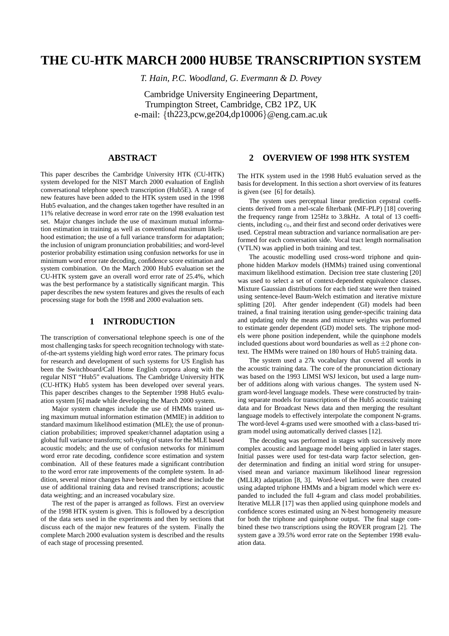# **THE CU-HTK MARCH 2000 HUB5E TRANSCRIPTION SYSTEM**

*T. Hain, P.C. Woodland, G. Evermann & D. Povey*

Cambridge University Engineering Department, Trumpington Street, Cambridge, CB2 1PZ, UK e-mail: {th223,pcw,ge204,dp10006}@eng.cam.ac.uk

## **ABSTRACT**

This paper describes the Cambridge University HTK (CU-HTK) system developed for the NIST March 2000 evaluation of English conversational telephone speech transcription (Hub5E). A range of new features have been added to the HTK system used in the 1998 Hub5 evaluation, and the changes taken together have resulted in an 11% relative decrease in word error rate on the 1998 evaluation test set. Major changes include the use of maximum mutual information estimation in training as well as conventional maximum likelihood estimation; the use of a full variance transform for adaptation; the inclusion of unigram pronunciation probabilities; and word-level posterior probability estimation using confusion networks for use in minimum word error rate decoding, confidence score estimation and system combination. On the March 2000 Hub5 evaluation set the CU-HTK system gave an overall word error rate of 25.4%, which was the best performance by a statistically significant margin. This paper describes the new system features and gives the results of each processing stage for both the 1998 and 2000 evaluation sets.

## **1 INTRODUCTION**

The transcription of conversational telephone speech is one of the most challenging tasks for speech recognition technology with stateof-the-art systems yielding high word error rates. The primary focus for research and development of such systems for US English has been the Switchboard/Call Home English corpora along with the regular NIST "Hub5" evaluations. The Cambridge University HTK (CU-HTK) Hub5 system has been developed over several years. This paper describes changes to the September 1998 Hub5 evaluation system [6] made while developing the March 2000 system.

Major system changes include the use of HMMs trained using maximum mutual information estimation (MMIE) in addition to standard maximum likelihood estimation (MLE); the use of pronunciation probabilities; improved speaker/channel adaptation using a global full variance transform; soft-tying of states for the MLE based acoustic models; and the use of confusion networks for minimum word error rate decoding, confidence score estimation and system combination. All of these features made a significant contribution to the word error rate improvements of the complete system. In addition, several minor changes have been made and these include the use of additional training data and revised transcriptions; acoustic data weighting; and an increased vocabulary size.

The rest of the paper is arranged as follows. First an overview of the 1998 HTK system is given. This is followed by a description of the data sets used in the experiments and then by sections that discuss each of the major new features of the system. Finally the complete March 2000 evaluation system is described and the results of each stage of processing presented.

## **2 OVERVIEW OF 1998 HTK SYSTEM**

The HTK system used in the 1998 Hub5 evaluation served as the basis for development. In this section a short overview of its features is given (see [6] for details).

The system uses perceptual linear prediction cepstral coefficients derived from a mel-scale filterbank (MF-PLP) [18] covering the frequency range from 125Hz to 3.8kHz. A total of 13 coefficients, including  $c_0$ , and their first and second order derivatives were used. Cepstral mean subtraction and variance normalisation are performed for each conversation side. Vocal tract length normalisation (VTLN) was applied in both training and test.

The acoustic modelling used cross-word triphone and quinphone hidden Markov models (HMMs) trained using conventional maximum likelihood estimation. Decision tree state clustering [20] was used to select a set of context-dependent equivalence classes. Mixture Gaussian distributions for each tied state were then trained using sentence-level Baum-Welch estimation and iterative mixture splitting [20]. After gender independent (GI) models had been trained, a final training iteration using gender-specific training data and updating only the means and mixture weights was performed to estimate gender dependent (GD) model sets. The triphone models were phone position independent, while the quinphone models included questions about word boundaries as well as  $\pm 2$  phone context. The HMMs were trained on 180 hours of Hub5 training data.

The system used a 27k vocabulary that covered all words in the acoustic training data. The core of the pronunciation dictionary was based on the 1993 LIMSI WSJ lexicon, but used a large number of additions along with various changes. The system used Ngram word-level language models. These were constructed by training separate models for transcriptions of the Hub5 acoustic training data and for Broadcast News data and then merging the resultant language models to effectively interpolate the component N-grams. The word-level 4-grams used were smoothed with a class-based trigram model using automatically derived classes [12].

The decoding was performed in stages with successively more complex acoustic and language model being applied in later stages. Initial passes were used for test-data warp factor selection, gender determination and finding an initial word string for unsupervised mean and variance maximum likelihood linear regression (MLLR) adaptation [8, 3]. Word-level lattices were then created using adapted triphone HMMs and a bigram model which were expanded to included the full 4-gram and class model probabilities. Iterative MLLR [17] was then applied using quinphone models and confidence scores estimated using an N-best homogeneity measure for both the triphone and quinphone output. The final stage combined these two transcriptions using the ROVER program [2]. The system gave a 39.5% word error rate on the September 1998 evaluation data.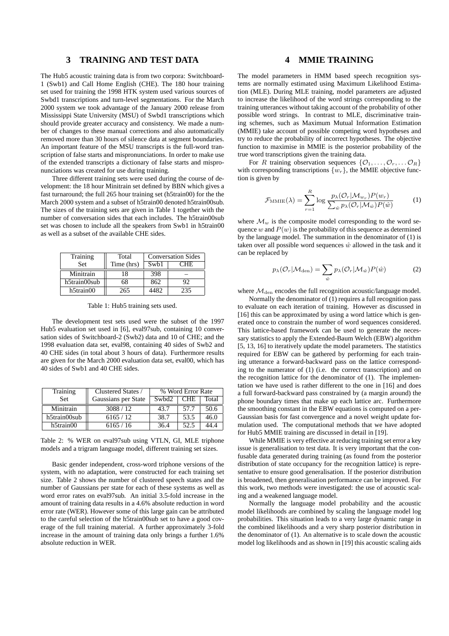## **3 TRAINING AND TEST DATA**

The Hub5 acoustic training data is from two corpora: Switchboard-1 (Swb1) and Call Home English (CHE). The 180 hour training set used for training the 1998 HTK system used various sources of Swbd1 transcriptions and turn-level segmentations. For the March 2000 system we took advantage of the January 2000 release from Mississippi State University (MSU) of Swbd1 transcriptions which should provide greater accuracy and consistency. We made a number of changes to these manual corrections and also automatically removed more than 30 hours of silence data at segment boundaries. An important feature of the MSU transcripts is the full-word transcription of false starts and mispronunciations. In order to make use of the extended transcripts a dictionary of false starts and mispronunciations was created for use during training.

Three different training sets were used during the course of development: the 18 hour Minitrain set defined by BBN which gives a fast turnaround; the full 265 hour training set (h5train00) for the the March 2000 system and a subset of h5train00 denoted h5train00sub. The sizes of the training sets are given in Table 1 together with the number of conversation sides that each includes. The h5train00sub set was chosen to include all the speakers from Swb1 in h5train00 as well as a subset of the available CHE sides.

| Training     | Total      | <b>Conversation Sides</b> |      |
|--------------|------------|---------------------------|------|
| <b>Set</b>   | Time (hrs) | Sw <sub>b</sub> 1         | CHE. |
| Minitrain    | 18         | 398                       |      |
| h5train00sub | 68         | 862                       | 92   |
| h5train00    | 265        | 4482                      | 235  |

Table 1: Hub5 training sets used.

The development test sets used were the subset of the 1997 Hub5 evaluation set used in [6], eval97sub, containing 10 conversation sides of Switchboard-2 (Swb2) data and 10 of CHE; and the 1998 evaluation data set, eval98, containing 40 sides of Swb2 and 40 CHE sides (in total about 3 hours of data). Furthermore results are given for the March 2000 evaluation data set, eval00, which has 40 sides of Swb1 and 40 CHE sides.

| Training     | Clustered States /  | % Word Error Rate |            |       |
|--------------|---------------------|-------------------|------------|-------|
| <b>Set</b>   | Gaussians per State | Swbd2             | <b>CHE</b> | Total |
| Minitrain    | 3088/12             | 43.7              | 57.7       | 50.6  |
| h5train00sub | 6165/12             | 38.7              | 53.5       | 46.0  |
| h5train00    | 6165/16             | 36.4              | 52.5       | 44.4  |

Table 2: % WER on eval97sub using VTLN, GI, MLE triphone models and a trigram language model, different training set sizes.

Basic gender independent, cross-word triphone versions of the system, with no adaptation, were constructed for each training set size. Table 2 shows the number of clustered speech states and the number of Gaussians per state for each of these systems as well as word error rates on eval97sub. An initial 3.5-fold increase in the amount of training data results in a 4.6% absolute reduction in word error rate (WER). However some of this large gain can be attributed to the careful selection of the h5train00sub set to have a good coverage of the full training material. A further approximately 3-fold increase in the amount of training data only brings a further 1.6% absolute reduction in WER.

## **4 MMIE TRAINING**

The model parameters in HMM based speech recognition systems are normally estimated using Maximum Likelihood Estimation (MLE). During MLE training, model parameters are adjusted to increase the likelihood of the word strings corresponding to the training utterances without taking account of the probability of other possible word strings. In contrast to MLE, discriminative training schemes, such as Maximum Mutual Information Estimation (MMIE) take account of possible competing word hypotheses and try to reduce the probability of incorrect hypotheses. The objective function to maximise in MMIE is the posterior probability of the true word transcriptions given the training data.

For R training observation sequences  $\{\mathcal{O}_1, \ldots, \mathcal{O}_r, \ldots \mathcal{O}_R\}$ with corresponding transcriptions  $\{w_r\}$ , the MMIE objective function is given by

$$
\mathcal{F}_{\text{MMIE}}(\lambda) = \sum_{r=1}^{R} \log \frac{p_{\lambda}(\mathcal{O}_{r} | \mathcal{M}_{w_{r}}) P(w_{r})}{\sum_{\hat{w}} p_{\lambda}(\mathcal{O}_{r} | \mathcal{M}_{\hat{w}}) P(\hat{w})}
$$
(1)

where  $\mathcal{M}_w$  is the composite model corresponding to the word sequence w and  $P(w)$  is the probability of this sequence as determined by the language model. The summation in the denominator of (1) is taken over all possible word sequences  $\hat{w}$  allowed in the task and it can be replaced by

$$
p_{\lambda}(\mathcal{O}_{r}|\mathcal{M}_{\text{den}}) = \sum_{\hat{w}} p_{\lambda}(\mathcal{O}_{r}|\mathcal{M}_{\hat{w}}) P(\hat{w})
$$
 (2)

where  $\mathcal{M}_{den}$  encodes the full recognition acoustic/language model.

Normally the denominator of (1) requires a full recognition pass to evaluate on each iteration of training. However as discussed in [16] this can be approximated by using a word lattice which is generated once to constrain the number of word sequences considered. This lattice-based framework can be used to generate the necessary statistics to apply the Extended-Baum Welch (EBW) algorithm [5, 13, 16] to iteratively update the model parameters. The statistics required for EBW can be gathered by performing for each training utterance a forward-backward pass on the lattice corresponding to the numerator of (1) (i.e. the correct transcription) and on the recognition lattice for the denominator of (1). The implementation we have used is rather different to the one in [16] and does a full forward-backward pass constrained by (a margin around) the phone boundary times that make up each lattice arc. Furthermore the smoothing constant in the EBW equations is computed on a per-Gaussian basis for fast convergence and a novel weight update formulation used. The computational methods that we have adopted for Hub5 MMIE training are discussed in detail in [19].

While MMIE is very effective at reducing training set error a key issue is generalisation to test data. It is very important that the confusable data generated during training (as found from the posterior distribution of state occupancy for the recognition lattice) is representative to ensure good generalisation. If the posterior distribution is broadened, then generalisation performance can be improved. For this work, two methods were investigated: the use of acoustic scaling and a weakened language model.

Normally the language model probability and the acoustic model likelihoods are combined by scaling the language model log probabilities. This situation leads to a very large dynamic range in the combined likelihoods and a very sharp posterior distribution in the denominator of (1). An alternative is to scale down the acoustic model log likelihoods and as shown in [19] this acoustic scaling aids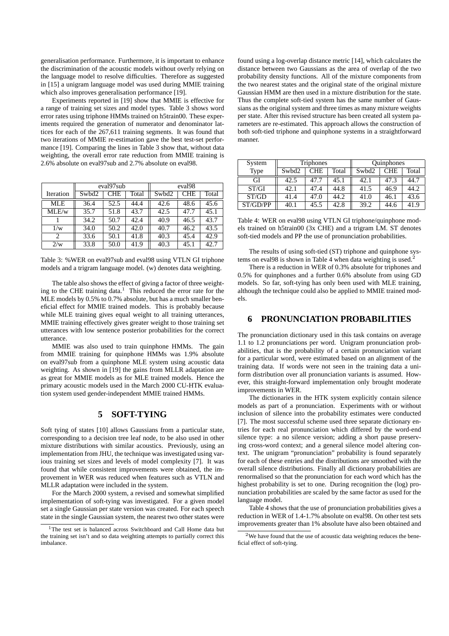generalisation performance. Furthermore, it is important to enhance the discrimination of the acoustic models without overly relying on the language model to resolve difficulties. Therefore as suggested in [15] a unigram language model was used during MMIE training which also improves generalisation performance [19].

Experiments reported in [19] show that MMIE is effective for a range of training set sizes and model types. Table 3 shows word error rates using triphone HMMs trained on h5train00. These experiments required the generation of numerator and denominator lattices for each of the 267,611 training segments. It was found that two iterations of MMIE re-estimation gave the best test-set performance [19]. Comparing the lines in Table 3 show that, without data weighting, the overall error rate reduction from MMIE training is 2.6% absolute on eval97sub and 2.7% absolute on eval98.

|            | eval97 <sub>sub</sub> |            |       | eval <sub>98</sub> |            |       |
|------------|-----------------------|------------|-------|--------------------|------------|-------|
| Iteration  | Swbd2                 | <b>CHE</b> | Total | Swbd2              | <b>CHE</b> | Total |
| <b>MLE</b> | 36.4                  | 52.5       | 44.4  | 42.6               | 48.6       | 45.6  |
| MLE/w      | 35.7                  | 51.8       | 43.7  | 42.5               | 47.7       | 45.1  |
|            | 34.2                  | 50.7       | 42.4  | 40.9               | 46.5       | 43.7  |
| 1/w        | 34.0                  | 50.2       | 42.0  | 40.7               | 46.2       | 43.5  |
| 2          | 33.6                  | 50.1       | 41.8  | 40.3               | 45.4       | 42.9  |
| 2/w        | 33.8                  | 50.0       | 41.9  | 40.3               | 45.1       | 42.7  |

Table 3: %WER on eval97sub and eval98 using VTLN GI triphone models and a trigram language model. (w) denotes data weighting.

The table also shows the effect of giving a factor of three weighting to the CHE training data. $<sup>1</sup>$  This reduced the error rate for the</sup> MLE models by 0.5% to 0.7% absolute, but has a much smaller beneficial effect for MMIE trained models. This is probably because while MLE training gives equal weight to all training utterances, MMIE training effectively gives greater weight to those training set utterances with low sentence posterior probabilities for the correct utterance.

MMIE was also used to train quinphone HMMs. The gain from MMIE training for quinphone HMMs was 1.9% absolute on eval97sub from a quinphone MLE system using acoustic data weighting. As shown in [19] the gains from MLLR adaptation are as great for MMIE models as for MLE trained models. Hence the primary acoustic models used in the March 2000 CU-HTK evaluation system used gender-independent MMIE trained HMMs.

## **5 SOFT-TYING**

Soft tying of states [10] allows Gaussians from a particular state, corresponding to a decision tree leaf node, to be also used in other mixture distributions with similar acoustics. Previously, using an implementation from JHU, the technique was investigated using various training set sizes and levels of model complexity [7]. It was found that while consistent improvements were obtained, the improvement in WER was reduced when features such as VTLN and MLLR adaptation were included in the system.

For the March 2000 system, a revised and somewhat simplified implementation of soft-tying was investigated. For a given model set a single Gaussian per state version was created. For each speech state in the single Gaussian system, the nearest two other states were

found using a log-overlap distance metric [14], which calculates the distance between two Gaussians as the area of overlap of the two probability density functions. All of the mixture components from the two nearest states and the original state of the original mixture Gaussian HMM are then used in a mixture distribution for the state. Thus the complete soft-tied system has the same number of Gaussians as the original system and three times as many mixture weights per state. After this revised structure has been created all system parameters are re-estimated. This approach allows the construction of both soft-tied triphone and quinphone systems in a straightforward manner.

| System   | Triphones |            |       | Quinphones |            |       |
|----------|-----------|------------|-------|------------|------------|-------|
| Type     | Swbd2     | <b>CHE</b> | Total | Swbd2      | <b>CHE</b> | Total |
| GІ       | 42.5      | 47.7       | 45.1  | 42.1       | 47.3       | 44.7  |
| ST/GI    | 42.1      | 47.4       | 44.8  | 41.5       | 46.9       | 44.2  |
| ST/GD    | 41.4      | 47.0       | 44.2  | 41.0       | 46.1       | 43.6  |
| ST/GD/PP | 40.1      | 45.5       | 42.8  | 39.2       | 44.6       | 41.9  |

Table 4: WER on eval98 using VTLN GI triphone/quinphone models trained on h5train00 (3x CHE) and a trigram LM. ST denotes soft-tied models and PP the use of pronunciation probabilities.

The results of using soft-tied (ST) triphone and quinphone systems on eval98 is shown in Table 4 when data weighting is used.<sup>2</sup>

There is a reduction in WER of 0.3% absolute for triphones and 0.5% for quinphones and a further 0.6% absolute from using GD models. So far, soft-tying has only been used with MLE training, although the technique could also be applied to MMIE trained models.

## **6 PRONUNCIATION PROBABILITIES**

The pronunciation dictionary used in this task contains on average 1.1 to 1.2 pronunciations per word. Unigram pronunciation probabilities, that is the probability of a certain pronunciation variant for a particular word, were estimated based on an alignment of the training data. If words were not seen in the training data a uniform distribution over all pronunciation variants is assumed. However, this straight-forward implementation only brought moderate improvements in WER.

The dictionaries in the HTK system explicitly contain silence models as part of a pronunciation. Experiments with or without inclusion of silence into the probability estimates were conducted [7]. The most successful scheme used three separate dictionary entries for each real pronunciation which differed by the word-end silence type: a no silence version; adding a short pause preserving cross-word context; and a general silence model altering context. The unigram "pronunciation" probability is found separately for each of these entries and the distributions are smoothed with the overall silence distributions. Finally all dictionary probabilities are renormalised so that the pronunciation for each word which has the highest probability is set to one. During recognition the (log) pronunciation probabilities are scaled by the same factor as used for the language model.

Table 4 shows that the use of pronunciation probabilities gives a reduction in WER of 1.4-1.7% absolute on eval98. On other test sets improvements greater than 1% absolute have also been obtained and

<sup>&</sup>lt;sup>1</sup>The test set is balanced across Switchboard and Call Home data but the training set isn't and so data weighting attempts to partially correct this imbalance.

<sup>2</sup>We have found that the use of acoustic data weighting reduces the beneficial effect of soft-tying.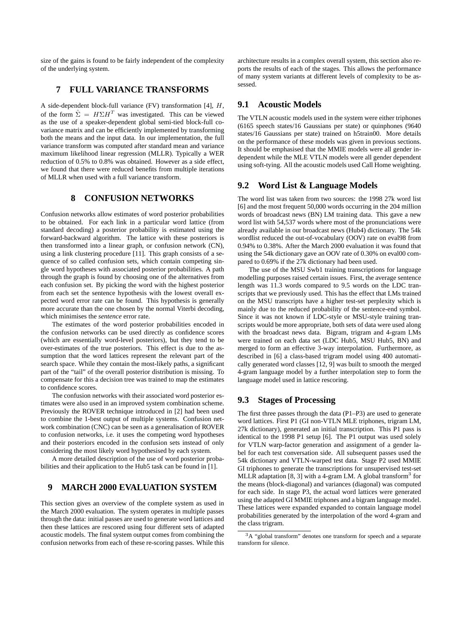size of the gains is found to be fairly independent of the complexity of the underlying system.

## **7 FULL VARIANCE TRANSFORMS**

A side-dependent block-full variance (FV) transformation [4], H, of the form  $\hat{\Sigma} = H\Sigma H^T$  was investigated. This can be viewed as the use of a speaker-dependent global semi-tied block-full covariance matrix and can be efficiently implemented by transforming both the means and the input data. In our implementation, the full variance transform was computed after standard mean and variance maximum likelihood linear regression (MLLR). Typically a WER reduction of 0.5% to 0.8% was obtained. However as a side effect, we found that there were reduced benefits from multiple iterations of MLLR when used with a full variance transform.

## **8 CONFUSION NETWORKS**

Confusion networks allow estimates of word posterior probabilities to be obtained. For each link in a particular word lattice (from standard decoding) a posterior probability is estimated using the forward-backward algorithm. The lattice with these posteriors is then transformed into a linear graph, or confusion network (CN), using a link clustering procedure [11]. This graph consists of a sequence of so called confusion sets, which contain competing single word hypotheses with associated posterior probabilities. A path through the graph is found by choosing one of the alternatives from each confusion set. By picking the word with the highest posterior from each set the sentence hypothesis with the lowest overall expected word error rate can be found. This hypothesis is generally more accurate than the one chosen by the normal Viterbi decoding, which minimises the *sentence* error rate.

The estimates of the word posterior probabilities encoded in the confusion networks can be used directly as confidence scores (which are essentially word-level posteriors), but they tend to be over-estimates of the true posteriors. This effect is due to the assumption that the word lattices represent the relevant part of the search space. While they contain the most-likely paths, a significant part of the "tail" of the overall posterior distribution is missing. To compensate for this a decision tree was trained to map the estimates to confidence scores.

The confusion networks with their associated word posterior estimates were also used in an improved system combination scheme. Previously the ROVER technique introduced in [2] had been used to combine the 1-best output of multiple systems. Confusion network combination (CNC) can be seen as a generalisation of ROVER to confusion networks, i.e. it uses the competing word hypotheses and their posteriors encoded in the confusion sets instead of only considering the most likely word hypothesised by each system.

A more detailed description of the use of word posterior probabilities and their application to the Hub5 task can be found in [1].

#### **9 MARCH 2000 EVALUATION SYSTEM**

This section gives an overview of the complete system as used in the March 2000 evaluation. The system operates in multiple passes through the data: initial passes are used to generate word lattices and then these lattices are rescored using four different sets of adapted acoustic models. The final system output comes from combining the confusion networks from each of these re-scoring passes. While this

architecture results in a complex overall system, this section also reports the results of each of the stages. This allows the performance of many system variants at different levels of complexity to be assessed.

## **9.1 Acoustic Models**

The VTLN acoustic models used in the system were either triphones (6165 speech states/16 Gaussians per state) or quinphones (9640 states/16 Gaussians per state) trained on h5train00. More details on the performance of these models was given in previous sections. It should be emphasised that the MMIE models were all gender independent while the MLE VTLN models were all gender dependent using soft-tying. All the acoustic models used Call Home weighting.

## **9.2 Word List & Language Models**

The word list was taken from two sources: the 1998 27k word list [6] and the most frequent 50,000 words occurring in the 204 million words of broadcast news (BN) LM training data. This gave a new word list with 54,537 words where most of the pronunciations were already available in our broadcast news (Hub4) dictionary. The 54k wordlist reduced the out-of-vocabulary (OOV) rate on eval98 from 0.94% to 0.38%. After the March 2000 evaluation it was found that using the 54k dictionary gave an OOV rate of 0.30% on eval00 compared to 0.69% if the 27k dictionary had been used.

The use of the MSU Swb1 training transcriptions for language modelling purposes raised certain issues. First, the average sentence length was 11.3 words compared to 9.5 words on the LDC transcripts that we previously used. This has the effect that LMs trained on the MSU transcripts have a higher test-set perplexity which is mainly due to the reduced probability of the sentence-end symbol. Since it was not known if LDC-style or MSU-style training transcripts would be more appropriate, both sets of data were used along with the broadcast news data. Bigram, trigram and 4-gram LMs were trained on each data set (LDC Hub5, MSU Hub5, BN) and merged to form an effective 3-way interpolation. Furthermore, as described in [6] a class-based trigram model using 400 automatically generated word classes [12, 9] was built to smooth the merged 4-gram language model by a further interpolation step to form the language model used in lattice rescoring.

#### **9.3 Stages of Processing**

The first three passes through the data (P1–P3) are used to generate word lattices. First P1 (GI non-VTLN MLE triphones, trigram LM, 27k dictionary), generated an initial transcription. This P1 pass is identical to the 1998 P1 setup [6]. The P1 output was used solely for VTLN warp-factor generation and assignment of a gender label for each test conversation side. All subsequent passes used the 54k dictionary and VTLN-warped test data. Stage P2 used MMIE GI triphones to generate the transcriptions for unsupervised test-set MLLR adaptation [8, 3] with a 4-gram LM. A global transform<sup>3</sup> for the means (block-diagonal) and variances (diagonal) was computed for each side. In stage P3, the actual word lattices were generated using the adapted GI MMIE triphones and a bigram language model. These lattices were expanded expanded to contain language model probabilities generated by the interpolation of the word 4-gram and the class trigram.

<sup>3</sup>A "global transform" denotes one transform for speech and a separate transform for silence.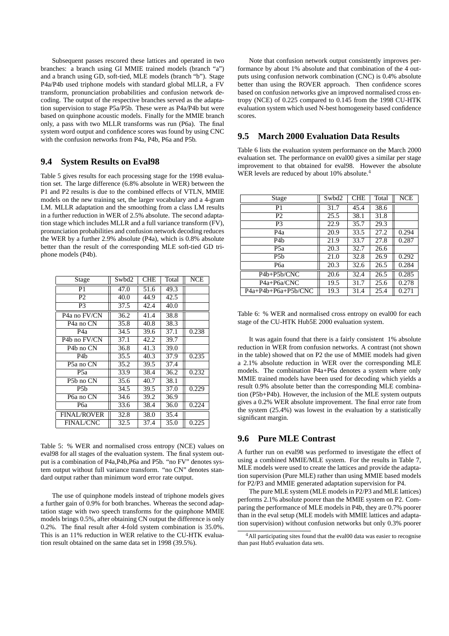Subsequent passes rescored these lattices and operated in two branches: a branch using GI MMIE trained models (branch "a") and a branch using GD, soft-tied, MLE models (branch "b"). Stage P4a/P4b used triphone models with standard global MLLR, a FV transform, pronunciation probabilities and confusion network decoding. The output of the respective branches served as the adaptation supervision to stage P5a/P5b. These were as P4a/P4b but were based on quinphone acoustic models. Finally for the MMIE branch only, a pass with two MLLR transforms was run (P6a). The final system word output and confidence scores was found by using CNC with the confusion networks from P4a, P4b, P6a and P5b.

## **9.4 System Results on Eval98**

Table 5 gives results for each processing stage for the 1998 evaluation set. The large difference (6.8% absolute in WER) between the P1 and P2 results is due to the combined effects of VTLN, MMIE models on the new training set, the larger vocabulary and a 4-gram LM. MLLR adaptation and the smoothing from a class LM results in a further reduction in WER of 2.5% absolute. The second adaptation stage which includes MLLR and a full variance transform (FV), pronunciation probabilities and confusion network decoding reduces the WER by a further 2.9% absolute (P4a), which is 0.8% absolute better than the result of the corresponding MLE soft-tied GD triphone models (P4b).

| Stage                     | Swbd2 | <b>CHE</b> | Total | <b>NCE</b> |
|---------------------------|-------|------------|-------|------------|
| P <sub>1</sub>            | 47.0  | 51.6       | 49.3  |            |
| P <sub>2</sub>            | 40.0  | 44.9       | 42.5  |            |
| P <sub>3</sub>            | 37.5  | 42.4       | 40.0  |            |
| P <sub>4</sub> a no FV/CN | 36.2  | 41.4       | 38.8  |            |
| P <sub>4</sub> a no CN    | 35.8  | 40.8       | 38.3  |            |
| P <sub>4</sub> a          | 34.5  | 39.6       | 37.1  | 0.238      |
| P <sub>4</sub> b no FV/CN | 37.1  | 42.2       | 39.7  |            |
| P <sub>4</sub> b no CN    | 36.8  | 41.3       | 39.0  |            |
| P4b                       | 35.5  | 40.3       | 37.9  | 0.235      |
| P <sub>5</sub> a no CN    | 35.2  | 39.5       | 37.4  |            |
| P <sub>5</sub> a          | 33.9  | 38.4       | 36.2  | 0.232      |
| P <sub>5</sub> b no CN    | 35.6  | 40.7       | 38.1  |            |
| P <sub>5</sub> h          | 34.5  | 39.5       | 37.0  | 0.229      |
| P6a no CN                 | 34.6  | 39.2       | 36.9  |            |
| P6a                       | 33.6  | 38.4       | 36.0  | 0.224      |
| <b>FINAL/ROVER</b>        | 32.8  | 38.0       | 35.4  |            |
| <b>FINAL/CNC</b>          | 32.5  | 37.4       | 35.0  | 0.225      |

Table 5: % WER and normalised cross entropy (NCE) values on eval98 for all stages of the evaluation system. The final system output is a combination of P4a,P4b,P6a and P5b. "no FV" denotes system output without full variance transform. "no CN" denotes standard output rather than minimum word error rate output.

The use of quinphone models instead of triphone models gives a further gain of 0.9% for both branches. Whereas the second adaptation stage with two speech transforms for the quinphone MMIE models brings 0.5%, after obtaining CN output the difference is only 0.2%. The final result after 4-fold system combination is 35.0%. This is an 11% reduction in WER relative to the CU-HTK evaluation result obtained on the same data set in 1998 (39.5%).

Note that confusion network output consistently improves performance by about 1% absolute and that combination of the 4 outputs using confusion network combination (CNC) is 0.4% absolute better than using the ROVER approach. Then confidence scores based on confusion networks give an improved normalised cross entropy (NCE) of 0.225 compared to 0.145 from the 1998 CU-HTK evaluation system which used N-best homogeneity based confidence scores.

## **9.5 March 2000 Evaluation Data Results**

Table 6 lists the evaluation system performance on the March 2000 evaluation set. The performance on eval00 gives a similar per stage improvement to that obtained for eval98. However the absolute WER levels are reduced by about 10% absolute.<sup>4</sup>

| Stage                                 | Swbd2 | <b>CHE</b> | Total | <b>NCE</b> |
|---------------------------------------|-------|------------|-------|------------|
| P <sub>1</sub>                        | 31.7  | 45.4       | 38.6  |            |
| P <sub>2</sub>                        | 25.5  | 38.1       | 31.8  |            |
| P <sub>3</sub>                        | 22.9  | 35.7       | 29.3  |            |
| P <sub>4</sub> a                      | 20.9  | 33.5       | 27.2  | 0.294      |
| P <sub>4</sub> b                      | 21.9  | 33.7       | 27.8  | 0.287      |
| P <sub>5</sub> a                      | 20.3  | 32.7       | 26.6  |            |
| P <sub>5</sub> h                      | 21.0  | 32.8       | 26.9  | 0.292      |
| P6a                                   | 20.3  | 32.6       | 26.5  | 0.284      |
| P <sub>4</sub> b+P <sub>5</sub> b/CNC | 20.6  | 32.4       | 26.5  | 0.285      |
| P4a+P6a/CNC                           | 19.5  | 31.7       | 25.6  | 0.278      |
| P4a+P4b+P6a+P5b/CNC                   | 19.3  | 31.4       | 25.4  | 0.271      |

Table 6: % WER and normalised cross entropy on eval00 for each stage of the CU-HTK Hub5E 2000 evaluation system.

It was again found that there is a fairly consistent 1% absolute reduction in WER from confusion networks. A contrast (not shown in the table) showed that on P2 the use of MMIE models had given a 2.1% absolute reduction in WER over the corresponding MLE models. The combination P4a+P6a denotes a system where only MMIE trained models have been used for decoding which yields a result 0.9% absolute better than the corresponding MLE combination (P5b+P4b). However, the inclusion of the MLE system outputs gives a 0.2% WER absolute improvement. The final error rate from the system (25.4%) was lowest in the evaluation by a statistically significant margin.

## **9.6 Pure MLE Contrast**

A further run on eval98 was performed to investigate the effect of using a combined MMIE/MLE system. For the results in Table 7, MLE models were used to create the lattices and provide the adaptation supervision (Pure MLE) rather than using MMIE based models for P2/P3 and MMIE generated adaptation supervision for P4.

The pure MLE system (MLE models in P2/P3 and MLE lattices) performs 2.1% absolute poorer than the MMIE system on P2. Comparing the performance of MLE models in P4b, they are 0.7% poorer than in the eval setup (MLE models with MMIE lattices and adaptation supervision) without confusion networks but only 0.3% poorer

<sup>&</sup>lt;sup>4</sup>All participating sites found that the eval00 data was easier to recognise than past Hub5 evaluation data sets.